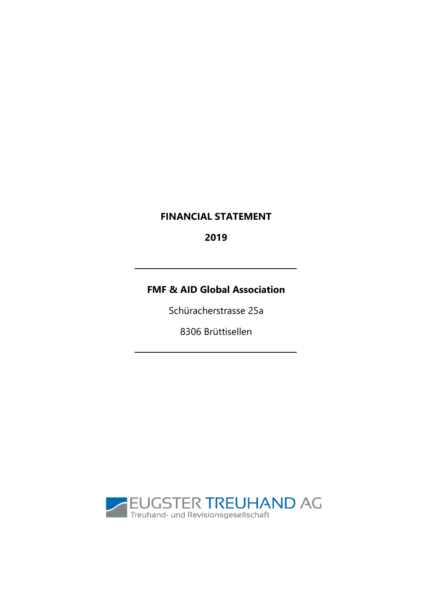# **FINANCIAL STATEMENT**

2019

# **FMF & AID Global Association**

Schüracherstrasse 25a

8306 Brüttisellen

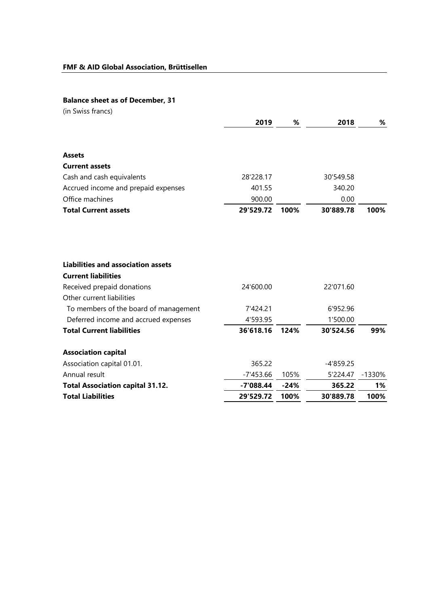## **Balance sheet as of December, 31**

| (in Swiss francs)                                                                                                                                                           |                       |        |                       |        |
|-----------------------------------------------------------------------------------------------------------------------------------------------------------------------------|-----------------------|--------|-----------------------|--------|
|                                                                                                                                                                             | 2019                  | %      | 2018                  | %      |
| <b>Assets</b>                                                                                                                                                               |                       |        |                       |        |
| <b>Current assets</b>                                                                                                                                                       |                       |        |                       |        |
| Cash and cash equivalents                                                                                                                                                   | 28'228.17             |        | 30'549.58             |        |
| Accrued income and prepaid expenses                                                                                                                                         | 401.55                |        | 340.20                |        |
| Office machines                                                                                                                                                             | 900.00                |        | 0.00                  |        |
| <b>Total Current assets</b>                                                                                                                                                 | 29'529.72             | 100%   | 30'889.78             | 100%   |
| <b>Liabilities and association assets</b><br><b>Current liabilities</b><br>Received prepaid donations<br>Other current liabilities<br>To members of the board of management | 24'600.00<br>7'424.21 |        | 22'071.60<br>6'952.96 |        |
| Deferred income and accrued expenses                                                                                                                                        | 4'593.95              |        | 1'500.00              |        |
| <b>Total Current liabilities</b>                                                                                                                                            | 36'618.16             | 124%   | 30'524.56             | 99%    |
| <b>Association capital</b>                                                                                                                                                  |                       |        |                       |        |
| Association capital 01.01.                                                                                                                                                  | 365.22                |        | $-4'859.25$           |        |
| Annual result                                                                                                                                                               | $-7'453.66$           | 105%   | 5'224.47              | -1330% |
| <b>Total Association capital 31.12.</b>                                                                                                                                     | $-7'088.44$           | $-24%$ | 365.22                | 1%     |
| <b>Total Liabilities</b>                                                                                                                                                    | 29'529.72             | 100%   | 30'889.78             | 100%   |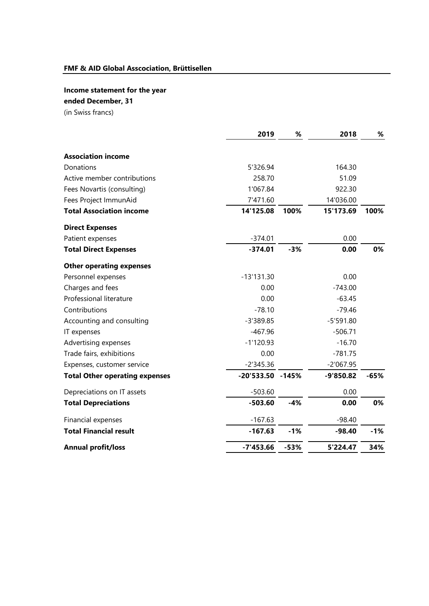# **Income statement for the year**

## **ended December, 31**

(in Swiss francs)

|                                       | 2019         | %       | 2018        | %      |
|---------------------------------------|--------------|---------|-------------|--------|
| <b>Association income</b>             |              |         |             |        |
| Donations                             | 5'326.94     |         | 164.30      |        |
| Active member contributions           | 258.70       |         | 51.09       |        |
| Fees Novartis (consulting)            | 1'067.84     |         | 922.30      |        |
| Fees Project ImmunAid                 | 7'471.60     |         | 14'036.00   |        |
| <b>Total Association income</b>       | 14'125.08    | 100%    | 15'173.69   | 100%   |
| <b>Direct Expenses</b>                |              |         |             |        |
| Patient expenses                      | $-374.01$    |         | 0.00        |        |
| <b>Total Direct Expenses</b>          | $-374.01$    | $-3%$   | 0.00        | 0%     |
| <b>Other operating expenses</b>       |              |         |             |        |
| Personnel expenses                    | $-13'131.30$ |         | 0.00        |        |
| Charges and fees                      | 0.00         |         | $-743.00$   |        |
| Professional literature               | 0.00         |         | $-63.45$    |        |
| Contributions                         | $-78.10$     |         | $-79.46$    |        |
| Accounting and consulting             | $-3'389.85$  |         | $-5'591.80$ |        |
| IT expenses                           | $-467.96$    |         | $-506.71$   |        |
| Advertising expenses                  | $-1'120.93$  |         | $-16.70$    |        |
| Trade fairs, exhibitions              | 0.00         |         | $-781.75$   |        |
| Expenses, customer service            | $-2'345.36$  |         | $-2'067.95$ |        |
| <b>Total Other operating expenses</b> | $-20'533.50$ | $-145%$ | $-9'850.82$ | $-65%$ |
| Depreciations on IT assets            | $-503.60$    |         | 0.00        |        |
| <b>Total Depreciations</b>            | $-503.60$    | $-4%$   | 0.00        | 0%     |
| Financial expenses                    | $-167.63$    |         | $-98.40$    |        |
| <b>Total Financial result</b>         | $-167.63$    | $-1%$   | $-98.40$    | $-1%$  |
| <b>Annual profit/loss</b>             | $-7'453.66$  | $-53%$  | 5'224.47    | 34%    |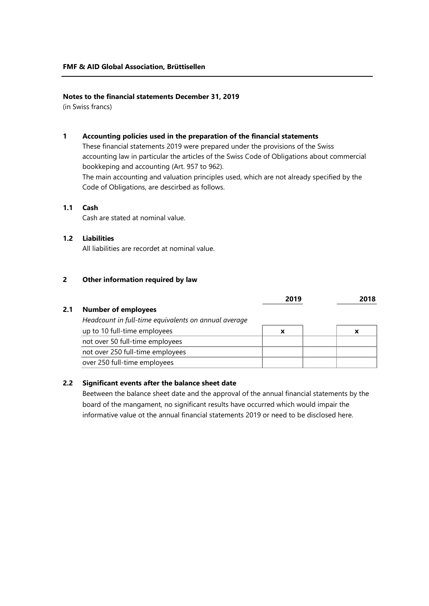### **Notes to the financial statements December 31, 2019**

(in Swiss francs)

#### **1 Accounting policies used in the preparation of the financial statements**

These financial statements 2019 were prepared under the provisions of the Swiss accounting law in particular the articles of the Swiss Code of Obligations about commercial bookkeping and accounting (Art. 957 to 962).

The main accounting and valuation principles used, which are not already specified by the Code of Obligations, are descirbed as follows.

## **1.1 Cash**

Cash are stated at nominal value.

### **1.2 Liabilities**

All liabilities are recordet at nominal value.

#### **2 Other information required by law**

|     |                                                      | 2019 | 2018 |
|-----|------------------------------------------------------|------|------|
| 2.1 | <b>Number of employees</b>                           |      |      |
|     | Headcount in full-time equivalents on annual average |      |      |
|     | up to 10 full-time employees                         | X    | X    |
|     | not over 50 full-time employees                      |      |      |
|     | not over 250 full-time employees                     |      |      |
|     | over 250 full-time employees                         |      |      |

## **2.2 Significant events after the balance sheet date**

Beetween the balance sheet date and the approval of the annual financial statements by the board of the mangament, no significant results have occurred which would impair the informative value ot the annual financial statements 2019 or need to be disclosed here.